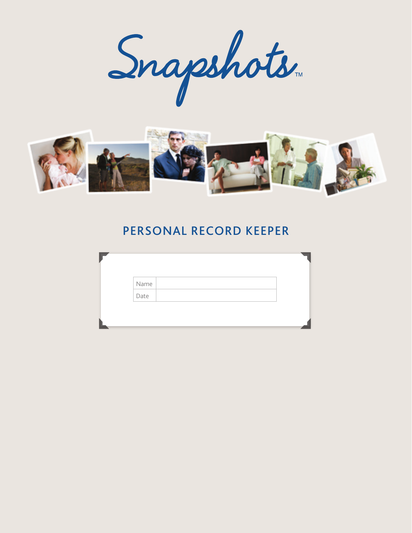



# PERSONAL RECORD KEEPER

| Name |  |
|------|--|
| Date |  |
|      |  |
|      |  |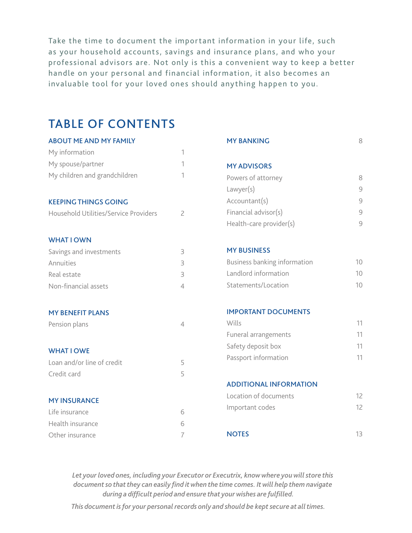Take the time to document the important information in your life, such as your household accounts, savings and insurance plans, and who your professional advisors are. Not only is this a convenient way to keep a better handle on your personal and financial information, it also becomes an invaluable tool for your loved ones should any thing happen to you.

# Table of contents

| <b>ABOUT ME AND MY FAMILY</b>         |                | <b>MY BANKING</b>                   | 8                                                         |
|---------------------------------------|----------------|-------------------------------------|-----------------------------------------------------------|
| My information                        | 1              |                                     |                                                           |
| My spouse/partner                     | 1              | <b>MY ADVISORS</b>                  |                                                           |
| My children and grandchildren         | 1              | Powers of attorney                  | 8                                                         |
|                                       |                | Lawyer(s)                           | $\mathcal{G}$                                             |
| <b>KEEPING THINGS GOING</b>           |                | Accountant(s)                       | $\mathcal{G}% _{M_{1},M_{2}}^{\alpha,\beta}(\mathcal{A})$ |
| Household Utilities/Service Providers | $\overline{2}$ | Financial advisor(s)                | $\mathcal G$                                              |
|                                       |                | Health-care provider(s)             | 9                                                         |
| <b>WHAT I OWN</b>                     |                |                                     |                                                           |
| Savings and investments               | 3              | <b>MY BUSINESS</b>                  |                                                           |
| Annuities                             | 3              | <b>Business banking information</b> | 10                                                        |
| Real estate                           | 3              | Landlord information                | 10                                                        |
| Non-financial assets                  | $\overline{4}$ | Statements/Location                 | 10                                                        |
| <b>MY BENEFIT PLANS</b>               |                | <b>IMPORTANT DOCUMENTS</b>          |                                                           |
| Pension plans                         | $\overline{4}$ | Wills                               | 11                                                        |
|                                       |                | Funeral arrangements                | 11                                                        |
| <b>WHAT I OWE</b>                     |                | Safety deposit box                  | 11                                                        |
| Loan and/or line of credit            | 5              | Passport information                | 11                                                        |
| Credit card                           | 5              |                                     |                                                           |
|                                       |                | <b>ADDITIONAL INFORMATION</b>       |                                                           |
| <b>MY INSURANCE</b>                   |                | Location of documents               | 12                                                        |
|                                       |                | Important codes                     | 12                                                        |
| Life insurance                        | 6              |                                     |                                                           |
| Health insurance                      | 6              | <b>NOTES</b>                        | 13                                                        |
| Other insurance                       | 7              |                                     |                                                           |

*Let your loved ones, including your Executor or Executrix, know where you will store this document so that they can easily find it when the time comes. It will help them navigate during a difficult period and ensure that your wishes are fulfilled.* 

*This document is for your personal records only and should be kept secure at all times.*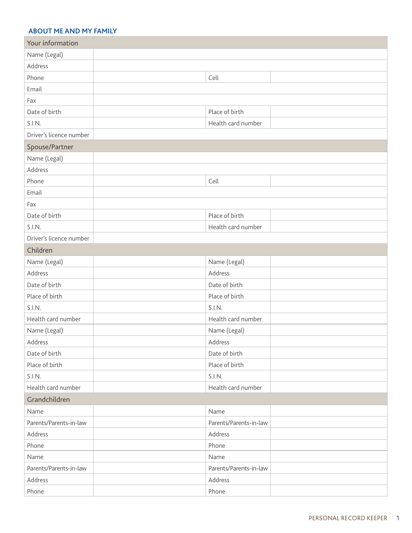#### **ABOUT Me and MY FAMILY**

| Your information        |                        |
|-------------------------|------------------------|
| Name (Legal)            |                        |
| Address                 |                        |
| Phone                   | Cell                   |
| Email                   |                        |
| Fax                     |                        |
| Date of birth           | Place of birth         |
| S.I.N.                  | Health card number     |
| Driver's licence number |                        |
| Spouse/Partner          |                        |
| Name (Legal)            |                        |
| Address                 |                        |
| Phone                   | Cell                   |
| Email                   |                        |
| Fax                     |                        |
| Date of birth           | Place of birth         |
| S.I.N.                  | Health card number     |
| Driver's licence number |                        |
| Children                |                        |
| Name (Legal)            | Name (Legal)           |
| Address                 | Address                |
| Date of birth           | Date of birth          |
| Place of birth          | Place of birth         |
| S.I.N.                  | S.I.N.                 |
| Health card number      | Health card number     |
| Name (Legal)            | Name (Legal)           |
| Address                 | Address                |
| Date of birth           | Date of birth          |
| Place of birth          | Place of birth         |
| S.I.N.                  | S.I.N.                 |
| Health card number      | Health card number     |
| Grandchildren           |                        |
| Name                    | Name                   |
| Parents/Parents-in-law  | Parents/Parents-in-law |
| Address                 | Address                |
| Phone                   | Phone                  |
| Name                    | Name                   |
| Parents/Parents-in-law  | Parents/Parents-in-law |
| Address                 | Address                |
| Phone                   | Phone                  |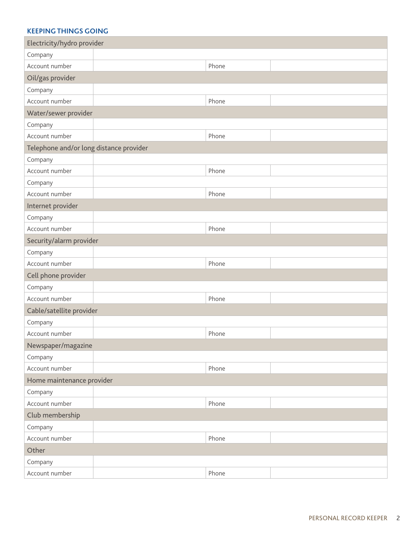#### **Keeping things going**

| Electricity/hydro provider              |  |       |  |
|-----------------------------------------|--|-------|--|
| Company                                 |  |       |  |
| Account number                          |  | Phone |  |
| Oil/gas provider                        |  |       |  |
| Company                                 |  |       |  |
| Account number                          |  | Phone |  |
| Water/sewer provider                    |  |       |  |
| Company                                 |  |       |  |
| Account number                          |  | Phone |  |
| Telephone and/or long distance provider |  |       |  |
| Company                                 |  |       |  |
| Account number                          |  | Phone |  |
| Company                                 |  |       |  |
| Account number                          |  | Phone |  |
| Internet provider                       |  |       |  |
| Company                                 |  |       |  |
| Account number                          |  | Phone |  |
| Security/alarm provider                 |  |       |  |
| Company                                 |  |       |  |
| Account number                          |  | Phone |  |
| Cell phone provider                     |  |       |  |
| Company                                 |  |       |  |
| Account number                          |  | Phone |  |
| Cable/satellite provider                |  |       |  |
| Company                                 |  |       |  |
| Account number                          |  | Phone |  |
| Newspaper/magazine                      |  |       |  |
| Company                                 |  |       |  |
| Account number                          |  | Phone |  |
| Home maintenance provider               |  |       |  |
| Company                                 |  |       |  |
| Account number                          |  | Phone |  |
| Club membership                         |  |       |  |
| Company                                 |  |       |  |
| Account number                          |  | Phone |  |
| Other                                   |  |       |  |
| Company                                 |  |       |  |
| Account number                          |  | Phone |  |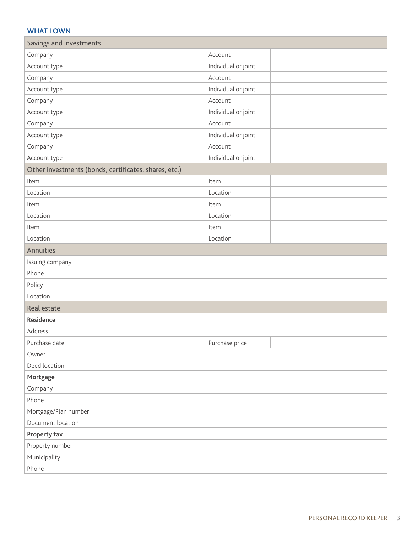#### **what i own**

| Savings and investments                               |                     |  |  |  |
|-------------------------------------------------------|---------------------|--|--|--|
| Company                                               | Account             |  |  |  |
| Account type                                          | Individual or joint |  |  |  |
| Company                                               | Account             |  |  |  |
| Account type                                          | Individual or joint |  |  |  |
| Company                                               | Account             |  |  |  |
| Account type                                          | Individual or joint |  |  |  |
| Company                                               | Account             |  |  |  |
| Account type                                          | Individual or joint |  |  |  |
| Company                                               | Account             |  |  |  |
| Account type                                          | Individual or joint |  |  |  |
| Other investments (bonds, certificates, shares, etc.) |                     |  |  |  |
| Item                                                  | Item                |  |  |  |
| Location                                              | Location            |  |  |  |
| Item                                                  | Item                |  |  |  |
| Location                                              | Location            |  |  |  |
| Item                                                  | Item                |  |  |  |
| Location                                              | Location            |  |  |  |
| Annuities                                             |                     |  |  |  |
| Issuing company                                       |                     |  |  |  |
| Phone                                                 |                     |  |  |  |
| Policy                                                |                     |  |  |  |
| Location                                              |                     |  |  |  |
| Real estate                                           |                     |  |  |  |
| <b>Residence</b>                                      |                     |  |  |  |
| Address                                               |                     |  |  |  |
| Purchase date                                         | Purchase price      |  |  |  |
| Owner                                                 |                     |  |  |  |
| Deed location                                         |                     |  |  |  |
| Mortgage                                              |                     |  |  |  |
| Company                                               |                     |  |  |  |
| Phone                                                 |                     |  |  |  |
| Mortgage/Plan number                                  |                     |  |  |  |
| Document location                                     |                     |  |  |  |
| Property tax                                          |                     |  |  |  |
| Property number                                       |                     |  |  |  |
| Municipality                                          |                     |  |  |  |
| Phone                                                 |                     |  |  |  |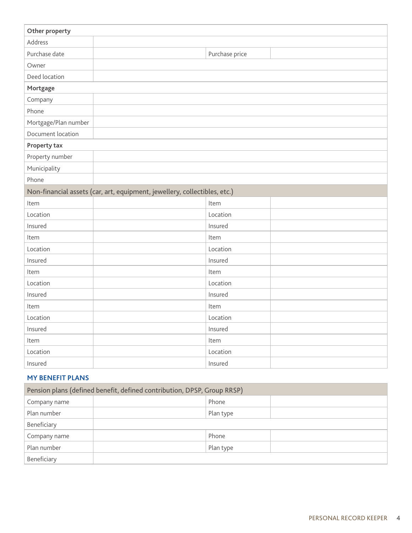| Other property       |                                                                           |
|----------------------|---------------------------------------------------------------------------|
| Address              |                                                                           |
| Purchase date        | Purchase price                                                            |
| Owner                |                                                                           |
| Deed location        |                                                                           |
| Mortgage             |                                                                           |
| Company              |                                                                           |
| Phone                |                                                                           |
| Mortgage/Plan number |                                                                           |
| Document location    |                                                                           |
| <b>Property tax</b>  |                                                                           |
| Property number      |                                                                           |
| Municipality         |                                                                           |
| Phone                |                                                                           |
|                      | Non-financial assets (car, art, equipment, jewellery, collectibles, etc.) |
| Item                 | Item                                                                      |
| Location             | Location                                                                  |
| Insured              | Insured                                                                   |
| Item                 | Item                                                                      |
| Location             | Location                                                                  |
| Insured              | Insured                                                                   |
| Item                 | Item                                                                      |
| Location             | Location                                                                  |
| Insured              | Insured                                                                   |
| Item                 | Item                                                                      |
| Location             | Location                                                                  |
| Insured              | Insured                                                                   |
| Item                 | Item                                                                      |
| Location             | Location                                                                  |
| Insured              | Insured                                                                   |

## **MY BENEFIT PLANS**

| Pension plans (defined benefit, defined contribution, DPSP, Group RRSP) |           |  |  |
|-------------------------------------------------------------------------|-----------|--|--|
| Company name                                                            | Phone     |  |  |
| Plan number                                                             | Plan type |  |  |
| Beneficiary                                                             |           |  |  |
| Company name                                                            | Phone     |  |  |
| Plan number                                                             | Plan type |  |  |
| Beneficiary                                                             |           |  |  |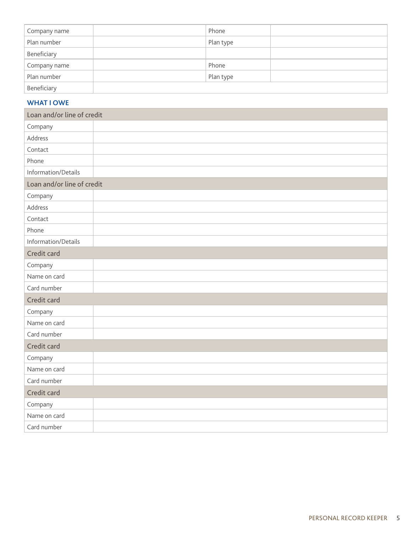| Company name | Phone     |
|--------------|-----------|
| Plan number  | Plan type |
| Beneficiary  |           |
| Company name | Phone     |
| Plan number  | Plan type |
| Beneficiary  |           |

#### **What I owe**

| Loan and/or line of credit |  |  |  |  |
|----------------------------|--|--|--|--|
| Company                    |  |  |  |  |
| Address                    |  |  |  |  |
| Contact                    |  |  |  |  |
| Phone                      |  |  |  |  |
| Information/Details        |  |  |  |  |
| Loan and/or line of credit |  |  |  |  |
| Company                    |  |  |  |  |
| Address                    |  |  |  |  |
| Contact                    |  |  |  |  |
| Phone                      |  |  |  |  |
| Information/Details        |  |  |  |  |
| Credit card                |  |  |  |  |
| Company                    |  |  |  |  |
| Name on card               |  |  |  |  |
| Card number                |  |  |  |  |
| Credit card                |  |  |  |  |
| Company                    |  |  |  |  |
| Name on card               |  |  |  |  |
| Card number                |  |  |  |  |
| Credit card                |  |  |  |  |
| Company                    |  |  |  |  |
| Name on card               |  |  |  |  |
| Card number                |  |  |  |  |
| Credit card                |  |  |  |  |
| Company                    |  |  |  |  |
| Name on card               |  |  |  |  |
| Card number                |  |  |  |  |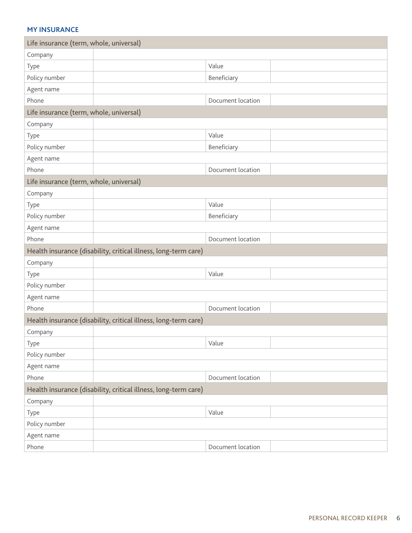#### **my insurance**

| Life insurance (term, whole, universal) |                                                                 |
|-----------------------------------------|-----------------------------------------------------------------|
| Company                                 |                                                                 |
| Type                                    | Value                                                           |
| Policy number                           | Beneficiary                                                     |
| Agent name                              |                                                                 |
| Phone                                   | Document location                                               |
| Life insurance (term, whole, universal) |                                                                 |
| Company                                 |                                                                 |
| Type                                    | Value                                                           |
| Policy number                           | Beneficiary                                                     |
| Agent name                              |                                                                 |
| Phone                                   | Document location                                               |
| Life insurance (term, whole, universal) |                                                                 |
| Company                                 |                                                                 |
| Type                                    | Value                                                           |
| Policy number                           | Beneficiary                                                     |
| Agent name                              |                                                                 |
| Phone                                   | Document location                                               |
|                                         | Health insurance (disability, critical illness, long-term care) |
| Company                                 |                                                                 |
| Type                                    | Value                                                           |
| Policy number                           |                                                                 |
| Agent name                              |                                                                 |
| Phone                                   | Document location                                               |
|                                         | Health insurance (disability, critical illness, long-term care) |
| Company                                 |                                                                 |
| Type                                    | Value                                                           |
| Policy number                           |                                                                 |
| Agent name                              |                                                                 |
| Phone                                   | Document location                                               |
|                                         | Health insurance (disability, critical illness, long-term care) |
| Company                                 |                                                                 |
| Type                                    | Value                                                           |
| Policy number                           |                                                                 |
| Agent name                              |                                                                 |
| Phone                                   | Document location                                               |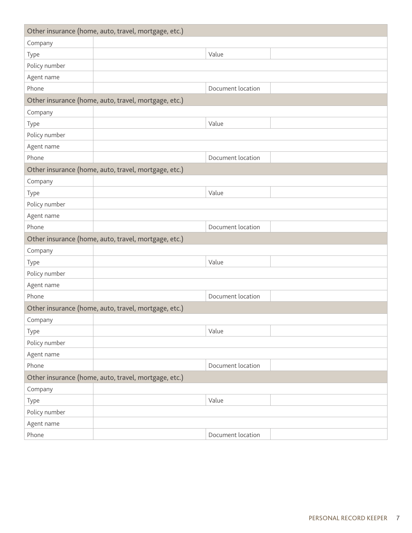|               | Other insurance (home, auto, travel, mortgage, etc.) |
|---------------|------------------------------------------------------|
| Company       |                                                      |
| Type          | Value                                                |
| Policy number |                                                      |
| Agent name    |                                                      |
| Phone         | Document location                                    |
|               | Other insurance (home, auto, travel, mortgage, etc.) |
| Company       |                                                      |
| Type          | Value                                                |
| Policy number |                                                      |
| Agent name    |                                                      |
| Phone         | Document location                                    |
|               | Other insurance (home, auto, travel, mortgage, etc.) |
| Company       |                                                      |
| Type          | Value                                                |
| Policy number |                                                      |
| Agent name    |                                                      |
| Phone         | Document location                                    |
|               | Other insurance (home, auto, travel, mortgage, etc.) |
| Company       |                                                      |
| Type          | Value                                                |
| Policy number |                                                      |
| Agent name    |                                                      |
| Phone         | Document location                                    |
|               | Other insurance (home, auto, travel, mortgage, etc.) |
| Company       |                                                      |
| Type          | Value                                                |
| Policy number |                                                      |
| Agent name    |                                                      |
| Phone         | Document location                                    |
|               | Other insurance (home, auto, travel, mortgage, etc.) |
| Company       |                                                      |
| Type          | Value                                                |
| Policy number |                                                      |
| Agent name    |                                                      |
| Phone         | Document location                                    |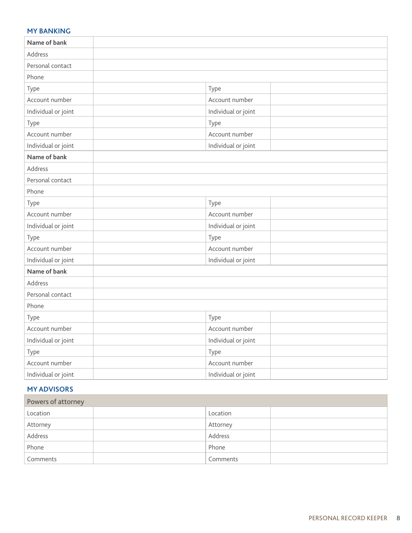#### **my banking**

| Name of bank        |                     |  |
|---------------------|---------------------|--|
| Address             |                     |  |
| Personal contact    |                     |  |
| Phone               |                     |  |
| Type                | Type                |  |
| Account number      | Account number      |  |
| Individual or joint | Individual or joint |  |
| Type                | Type                |  |
| Account number      | Account number      |  |
| Individual or joint | Individual or joint |  |
| Name of bank        |                     |  |
| Address             |                     |  |
| Personal contact    |                     |  |
| Phone               |                     |  |
| Type                | Type                |  |
| Account number      | Account number      |  |
| Individual or joint | Individual or joint |  |
| Type                | Type                |  |
| Account number      | Account number      |  |
| Individual or joint | Individual or joint |  |
| Name of bank        |                     |  |
| Address             |                     |  |
| Personal contact    |                     |  |
| Phone               |                     |  |
| Type                | Type                |  |
| Account number      | Account number      |  |
| Individual or joint | Individual or joint |  |
| Type                | Type                |  |
| Account number      | Account number      |  |
| Individual or joint | Individual or joint |  |

### **my advisors**

| Powers of attorney |          |  |
|--------------------|----------|--|
| Location           | Location |  |
| Attorney           | Attorney |  |
| Address            | Address  |  |
| Phone              | Phone    |  |
| Comments           | Comments |  |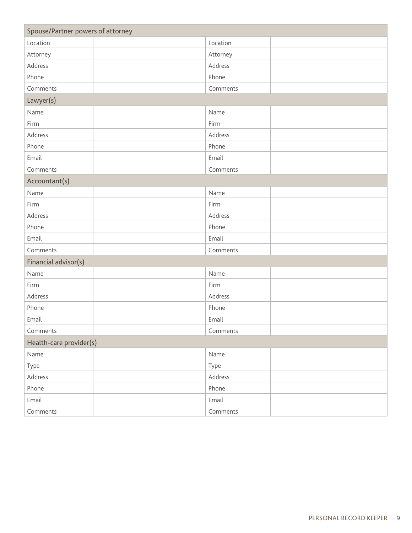| Spouse/Partner powers of attorney |          |  |
|-----------------------------------|----------|--|
| Location                          | Location |  |
| Attorney                          | Attorney |  |
| Address                           | Address  |  |
| Phone                             | Phone    |  |
| Comments                          | Comments |  |
| Lawyer(s)                         |          |  |
| Name                              | Name     |  |
| Firm                              | Firm     |  |
| Address                           | Address  |  |
| Phone                             | Phone    |  |
| Email                             | Email    |  |
| Comments                          | Comments |  |
| Accountant(s)                     |          |  |
| Name                              | Name     |  |
| Firm                              | Firm     |  |
| Address                           | Address  |  |
| Phone                             | Phone    |  |
| Email                             | Email    |  |
| Comments                          | Comments |  |
| Financial advisor(s)              |          |  |
| Name                              | Name     |  |
| Firm                              | Firm     |  |
| Address                           | Address  |  |
| Phone                             | Phone    |  |
| Email                             | Email    |  |
| Comments                          | Comments |  |
| Health-care provider(s)           |          |  |
| Name                              | Name     |  |
| Type                              | Type     |  |
| Address                           | Address  |  |
| Phone                             | Phone    |  |
| Email                             | Email    |  |
| Comments                          | Comments |  |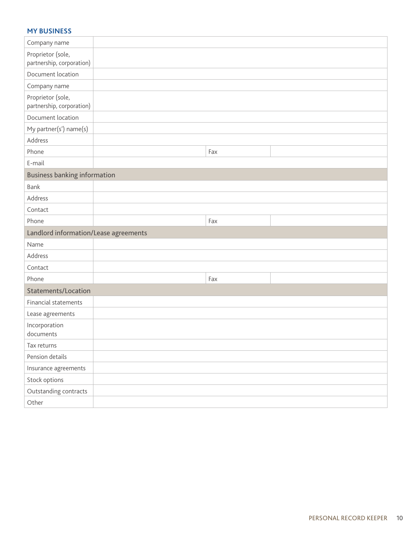#### **My Business**

| Company name                                   |     |  |
|------------------------------------------------|-----|--|
| Proprietor (sole,<br>partnership, corporation) |     |  |
| Document location                              |     |  |
| Company name                                   |     |  |
| Proprietor (sole,<br>partnership, corporation) |     |  |
| Document location                              |     |  |
| My partner(s') name(s)                         |     |  |
| Address                                        |     |  |
| Phone                                          | Fax |  |
| E-mail                                         |     |  |
| <b>Business banking information</b>            |     |  |
| Bank                                           |     |  |
| Address                                        |     |  |
| Contact                                        |     |  |
| Phone                                          | Fax |  |
| Landlord information/Lease agreements          |     |  |
| Name                                           |     |  |
| Address                                        |     |  |
| Contact                                        |     |  |
| Phone                                          | Fax |  |
| Statements/Location                            |     |  |
| Financial statements                           |     |  |
| Lease agreements                               |     |  |
| Incorporation<br>documents                     |     |  |
| Tax returns                                    |     |  |
| Pension details                                |     |  |
| Insurance agreements                           |     |  |
| Stock options                                  |     |  |
| Outstanding contracts                          |     |  |
| Other                                          |     |  |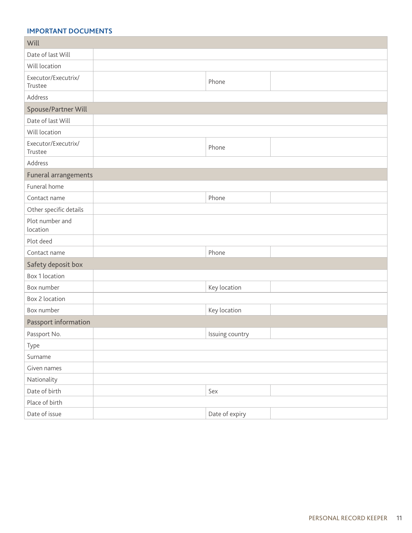#### **Important Documents**

| Will                           |     |                 |
|--------------------------------|-----|-----------------|
| Date of last Will              |     |                 |
| Will location                  |     |                 |
| Executor/Executrix/<br>Trustee |     | Phone           |
| Address                        |     |                 |
| Spouse/Partner Will            |     |                 |
| Date of last Will              |     |                 |
| Will location                  |     |                 |
| Executor/Executrix/<br>Trustee |     | Phone           |
| Address                        |     |                 |
| Funeral arrangements           |     |                 |
| Funeral home                   |     |                 |
| Contact name                   |     | Phone           |
| Other specific details         |     |                 |
| Plot number and<br>location    |     |                 |
| Plot deed                      |     |                 |
| Contact name                   |     | Phone           |
| Safety deposit box             |     |                 |
| Box 1 location                 |     |                 |
| Box number                     |     | Key location    |
| Box 2 location                 |     |                 |
| Box number                     |     | Key location    |
| Passport information           |     |                 |
| Passport No.                   |     | Issuing country |
| Type                           |     |                 |
| Surname                        |     |                 |
| Given names                    |     |                 |
| Nationality                    |     |                 |
| Date of birth                  | Sex |                 |
| Place of birth                 |     |                 |
| Date of issue                  |     | Date of expiry  |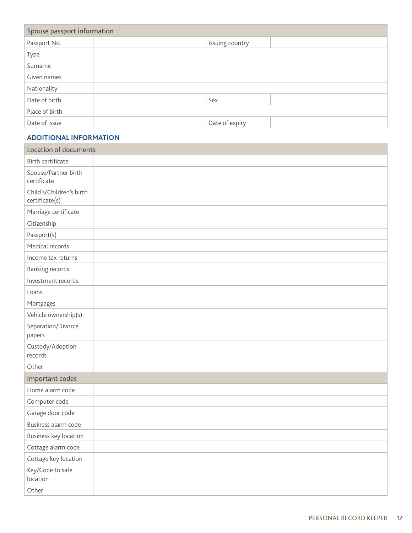| Spouse passport information |                 |  |
|-----------------------------|-----------------|--|
| Passport No.                | Issuing country |  |
| Type                        |                 |  |
| Surname                     |                 |  |
| Given names                 |                 |  |
| Nationality                 |                 |  |
| Date of birth               | Sex             |  |
| Place of birth              |                 |  |
| Date of issue               | Date of expiry  |  |

#### **additional information**

| <b>Location of documents</b>               |  |
|--------------------------------------------|--|
| <b>Birth certificate</b>                   |  |
| Spouse/Partner birth<br>certificate        |  |
| Child's/Children's birth<br>certificate(s) |  |
| Marriage certificate                       |  |
| Citizenship                                |  |
| Passport(s)                                |  |
| Medical records                            |  |
| Income tax returns                         |  |
| <b>Banking records</b>                     |  |
| Investment records                         |  |
| Loans                                      |  |
| Mortgages                                  |  |
| Vehicle ownership(s)                       |  |
| Separation/Divorce<br>papers               |  |
| Custody/Adoption<br>records                |  |
| Other                                      |  |
| Important codes                            |  |
| Home alarm code                            |  |
| Computer code                              |  |
| Garage door code                           |  |
| Business alarm code                        |  |
| Business key location                      |  |
| Cottage alarm code                         |  |
| Cottage key location                       |  |
| Key/Code to safe<br>location               |  |
| Other                                      |  |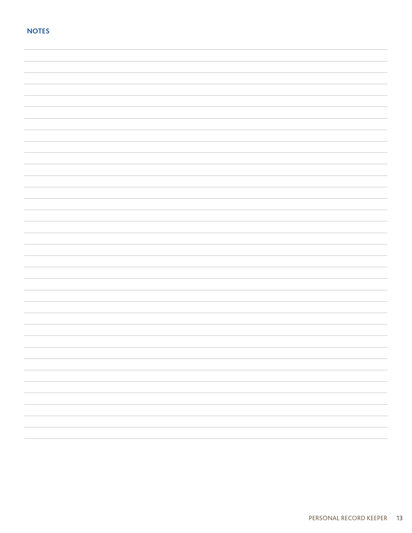| <b>NOTES</b> |  |
|--------------|--|
|              |  |
|              |  |
|              |  |
|              |  |
|              |  |
|              |  |
|              |  |
|              |  |
|              |  |
|              |  |
|              |  |
|              |  |
|              |  |
|              |  |
|              |  |
|              |  |
|              |  |
|              |  |
|              |  |
|              |  |
|              |  |
|              |  |
|              |  |
|              |  |
|              |  |
|              |  |
|              |  |
|              |  |
|              |  |
|              |  |
|              |  |
|              |  |
|              |  |
|              |  |
|              |  |